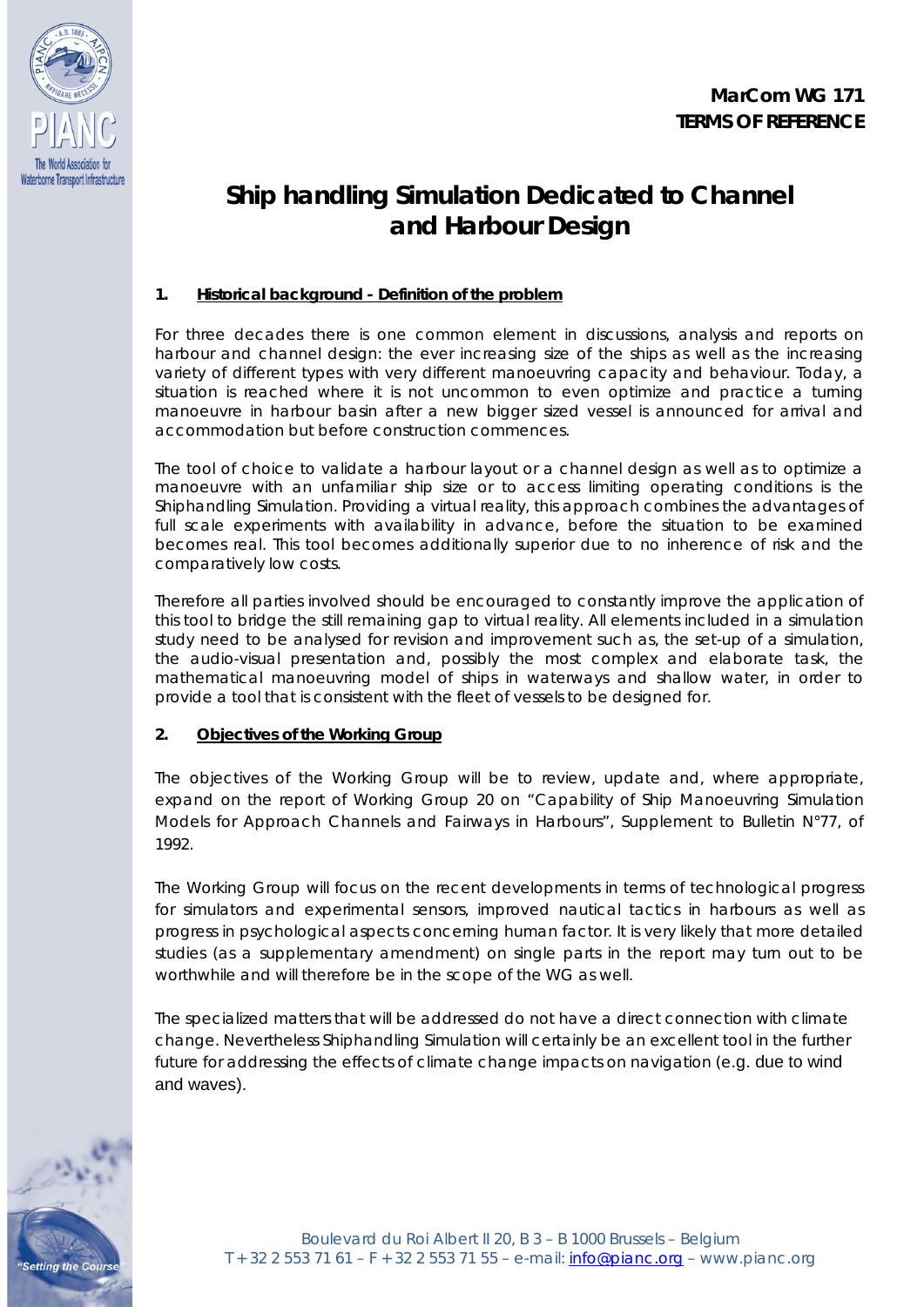



# **Ship handling Simulation Dedicated to Channel and Harbour Design**

# **1. Historical background - Definition of the problem**

For three decades there is one common element in discussions, analysis and reports on harbour and channel design: the ever increasing size of the ships as well as the increasing variety of different types with very different manoeuvring capacity and behaviour. Today, a situation is reached where it is not uncommon to even optimize and practice a turning manoeuvre in harbour basin after a new bigger sized vessel is announced for arrival and accommodation but before construction commences.

The tool of choice to validate a harbour layout or a channel design as well as to optimize a manoeuvre with an unfamiliar ship size or to access limiting operating conditions is the Shiphandling Simulation. Providing a virtual reality, this approach combines the advantages of full scale experiments with availability in advance, before the situation to be examined becomes real. This tool becomes additionally superior due to no inherence of risk and the comparatively low costs.

Therefore all parties involved should be encouraged to constantly improve the application of this tool to bridge the still remaining gap to virtual reality. All elements included in a simulation study need to be analysed for revision and improvement such as, the set-up of a simulation, the audio-visual presentation and, possibly the most complex and elaborate task, the mathematical manoeuvring model of ships in waterways and shallow water, in order to provide a tool that is consistent with the fleet of vessels to be designed for.

# **2. Objectives of the Working Group**

The objectives of the Working Group will be to review, update and, where appropriate, expand on the report of Working Group 20 on "Capability of Ship Manoeuvring Simulation Models for Approach Channels and Fairways in Harbours", Supplement to Bulletin N°77, of 1992.

The Working Group will focus on the recent developments in terms of technological progress for simulators and experimental sensors, improved nautical tactics in harbours as well as progress in psychological aspects concerning human factor. It is very likely that more detailed studies (as a supplementary amendment) on single parts in the report may turn out to be worthwhile and will therefore be in the scope of the WG as well.

The specialized matters that will be addressed do not have a direct connection with climate change. Nevertheless Shiphandling Simulation will certainly be an excellent tool in the further future for addressing the effects of climate change impacts on navigation (e.g. due to wind and waves).

tting the Cours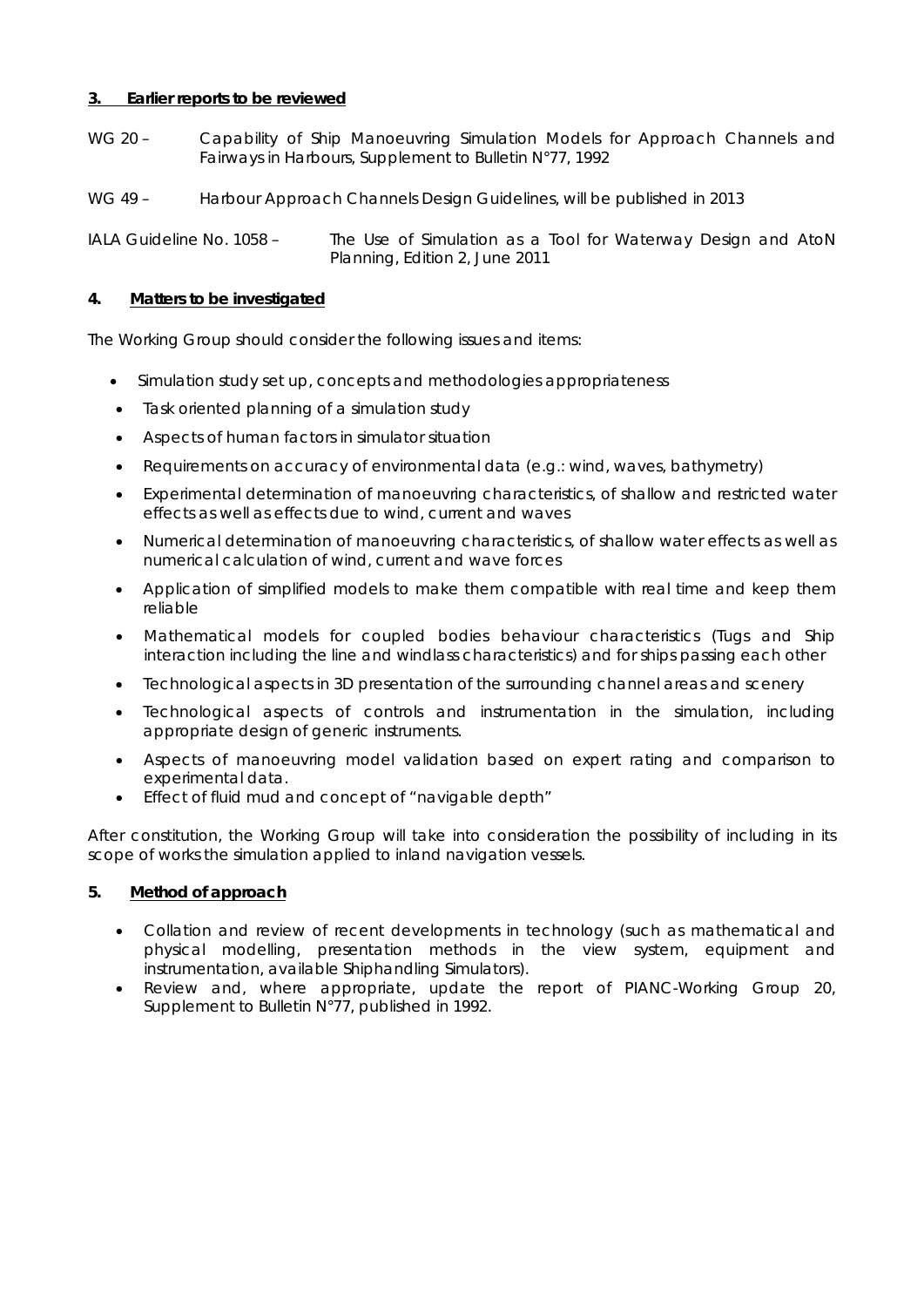## **3. Earlier reports to be reviewed**

- WG 20 Capability of Ship Manoeuvring Simulation Models for Approach Channels and Fairways in Harbours, Supplement to Bulletin N°77, 1992
- WG 49 Harbour Approach Channels Design Guidelines, will be published in 2013

IALA Guideline No. 1058 – The Use of Simulation as a Tool for Waterway Design and AtoN Planning, Edition 2, June 2011

## **4. Matters to be investigated**

The Working Group should consider the following issues and items:

- Simulation study set up, concepts and methodologies appropriateness
- Task oriented planning of a simulation study
- Aspects of human factors in simulator situation
- Requirements on accuracy of environmental data (e.g.: wind, waves, bathymetry)
- Experimental determination of manoeuvring characteristics, of shallow and restricted water effects as well as effects due to wind, current and waves
- Numerical determination of manoeuvring characteristics, of shallow water effects as well as numerical calculation of wind, current and wave forces
- Application of simplified models to make them compatible with real time and keep them reliable
- Mathematical models for coupled bodies behaviour characteristics (Tugs and Ship interaction including the line and windlass characteristics) and for ships passing each other
- Technological aspects in 3D presentation of the surrounding channel areas and scenery
- Technological aspects of controls and instrumentation in the simulation, including appropriate design of generic instruments.
- Aspects of manoeuvring model validation based on expert rating and comparison to experimental data.
- Effect of fluid mud and concept of "navigable depth"

After constitution, the Working Group will take into consideration the possibility of including in its scope of works the simulation applied to inland navigation vessels.

### **5. Method of approach**

- Collation and review of recent developments in technology (such as mathematical and physical modelling, presentation methods in the view system, equipment and instrumentation, available Shiphandling Simulators).
- Review and, where appropriate, update the report of PIANC-Working Group 20, Supplement to Bulletin N°77, published in 1992.